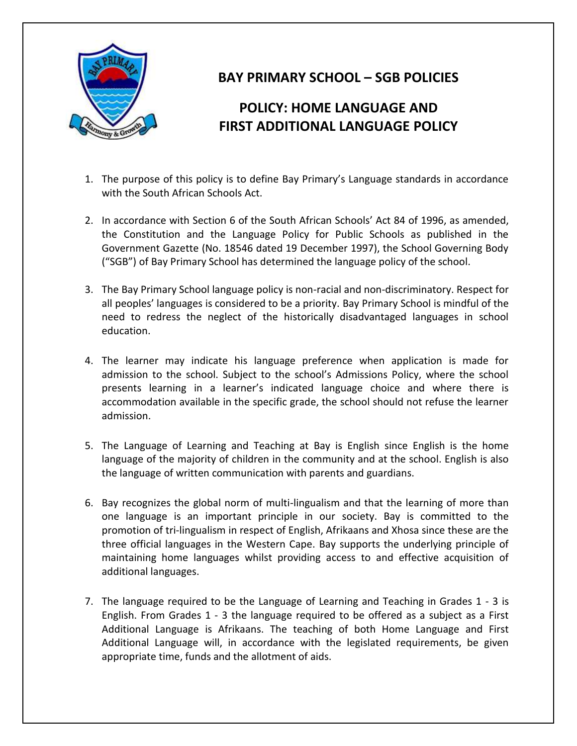

## **BAY PRIMARY SCHOOL – SGB POLICIES**

## **POLICY: HOME LANGUAGE AND FIRST ADDITIONAL LANGUAGE POLICY**

- 1. The purpose of this policy is to define Bay Primary's Language standards in accordance with the South African Schools Act.
- 2. In accordance with Section 6 of the South African Schools' Act 84 of 1996, as amended, the Constitution and the Language Policy for Public Schools as published in the Government Gazette (No. 18546 dated 19 December 1997), the School Governing Body ("SGB") of Bay Primary School has determined the language policy of the school.
- 3. The Bay Primary School language policy is non-racial and non-discriminatory. Respect for all peoples' languages is considered to be a priority. Bay Primary School is mindful of the need to redress the neglect of the historically disadvantaged languages in school education.
- 4. The learner may indicate his language preference when application is made for admission to the school. Subject to the school's Admissions Policy, where the school presents learning in a learner's indicated language choice and where there is accommodation available in the specific grade, the school should not refuse the learner admission.
- 5. The Language of Learning and Teaching at Bay is English since English is the home language of the majority of children in the community and at the school. English is also the language of written communication with parents and guardians.
- 6. Bay recognizes the global norm of multi-lingualism and that the learning of more than one language is an important principle in our society. Bay is committed to the promotion of tri-lingualism in respect of English, Afrikaans and Xhosa since these are the three official languages in the Western Cape. Bay supports the underlying principle of maintaining home languages whilst providing access to and effective acquisition of additional languages.
- 7. The language required to be the Language of Learning and Teaching in Grades 1 3 is English. From Grades 1 - 3 the language required to be offered as a subject as a First Additional Language is Afrikaans. The teaching of both Home Language and First Additional Language will, in accordance with the legislated requirements, be given appropriate time, funds and the allotment of aids.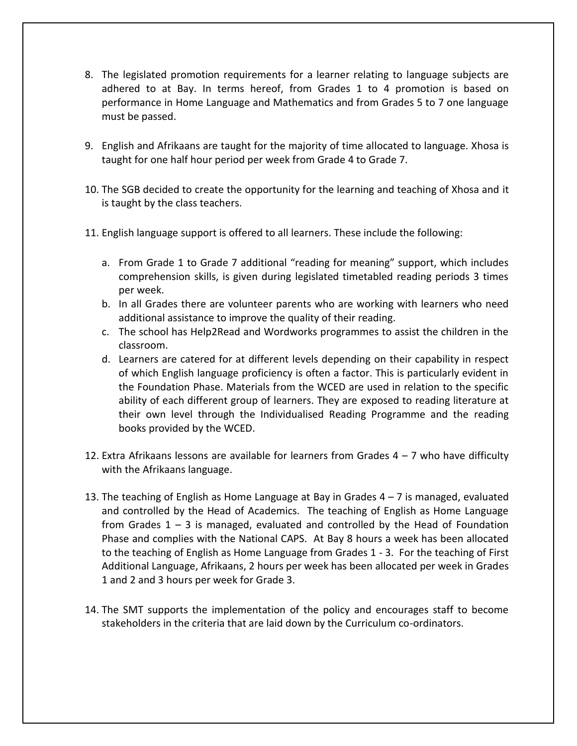- 8. The legislated promotion requirements for a learner relating to language subjects are adhered to at Bay. In terms hereof, from Grades 1 to 4 promotion is based on performance in Home Language and Mathematics and from Grades 5 to 7 one language must be passed.
- 9. English and Afrikaans are taught for the majority of time allocated to language. Xhosa is taught for one half hour period per week from Grade 4 to Grade 7.
- 10. The SGB decided to create the opportunity for the learning and teaching of Xhosa and it is taught by the class teachers.
- 11. English language support is offered to all learners. These include the following:
	- a. From Grade 1 to Grade 7 additional "reading for meaning" support, which includes comprehension skills, is given during legislated timetabled reading periods 3 times per week.
	- b. In all Grades there are volunteer parents who are working with learners who need additional assistance to improve the quality of their reading.
	- c. The school has Help2Read and Wordworks programmes to assist the children in the classroom.
	- d. Learners are catered for at different levels depending on their capability in respect of which English language proficiency is often a factor. This is particularly evident in the Foundation Phase. Materials from the WCED are used in relation to the specific ability of each different group of learners. They are exposed to reading literature at their own level through the Individualised Reading Programme and the reading books provided by the WCED.
- 12. Extra Afrikaans lessons are available for learners from Grades  $4 7$  who have difficulty with the Afrikaans language.
- 13. The teaching of English as Home Language at Bay in Grades 4 7 is managed, evaluated and controlled by the Head of Academics. The teaching of English as Home Language from Grades 1 – 3 is managed, evaluated and controlled by the Head of Foundation Phase and complies with the National CAPS. At Bay 8 hours a week has been allocated to the teaching of English as Home Language from Grades 1 - 3. For the teaching of First Additional Language, Afrikaans, 2 hours per week has been allocated per week in Grades 1 and 2 and 3 hours per week for Grade 3.
- 14. The SMT supports the implementation of the policy and encourages staff to become stakeholders in the criteria that are laid down by the Curriculum co-ordinators.